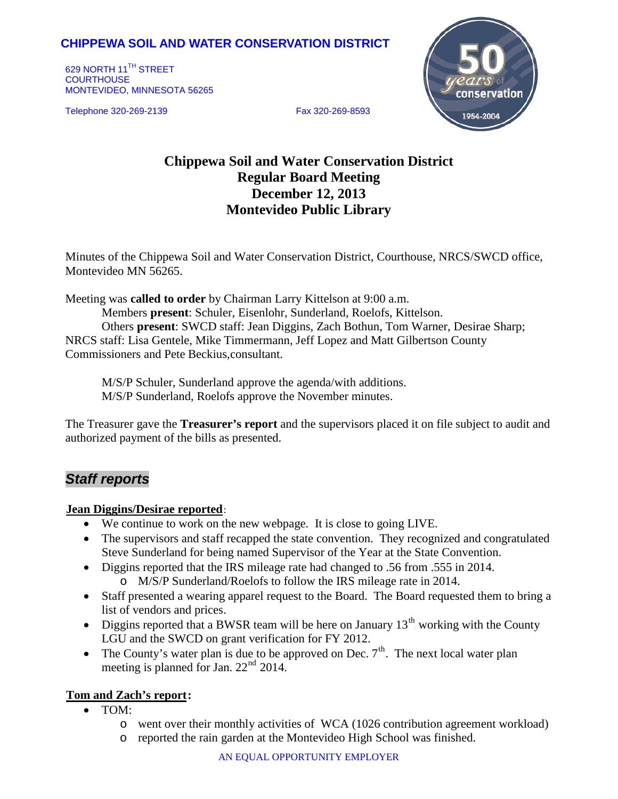# **CHIPPEWA SOIL AND WATER CONSERVATION DISTRICT**

629 NORTH 11<sup>TH</sup> STREET **COURTHOUSE** MONTEVIDEO, MINNESOTA 56265

Telephone 320-269-2139 Fax 320-269-8593



# **Chippewa Soil and Water Conservation District Regular Board Meeting December 12, 2013**

# **Montevideo Public Library**

Minutes of the Chippewa Soil and Water Conservation District, Courthouse, NRCS/SWCD office, Montevideo MN 56265.

Meeting was **called to order** by Chairman Larry Kittelson at 9:00 a.m.

Members **present**: Schuler, Eisenlohr, Sunderland, Roelofs, Kittelson. Others **present**: SWCD staff: Jean Diggins, Zach Bothun, Tom Warner, Desirae Sharp; NRCS staff: Lisa Gentele, Mike Timmermann, Jeff Lopez and Matt Gilbertson County Commissioners and Pete Beckius,consultant.

M/S/P Schuler, Sunderland approve the agenda/with additions. M/S/P Sunderland, Roelofs approve the November minutes.

The Treasurer gave the **Treasurer's report** and the supervisors placed it on file subject to audit and authorized payment of the bills as presented.

# *Staff reports*

#### **Jean Diggins/Desirae reported:**

- We continue to work on the new webpage. It is close to going LIVE.
- The supervisors and staff recapped the state convention. They recognized and congratulated Steve Sunderland for being named Supervisor of the Year at the State Convention.
- Diggins reported that the IRS mileage rate had changed to .56 from .555 in 2014. o M/S/P Sunderland/Roelofs to follow the IRS mileage rate in 2014.
- Staff presented a wearing apparel request to the Board. The Board requested them to bring a list of vendors and prices.
- Diggins reported that a BWSR team will be here on January  $13<sup>th</sup>$  working with the County LGU and the SWCD on grant verification for FY 2012.
- The County's water plan is due to be approved on Dec.  $7<sup>th</sup>$ . The next local water plan meeting is planned for Jan.  $22<sup>nd</sup>$  2014.

#### **Tom and Zach's report:**

- TOM:
	- o went over their monthly activities of WCA (1026 contribution agreement workload)
	- o reported the rain garden at the Montevideo High School was finished.